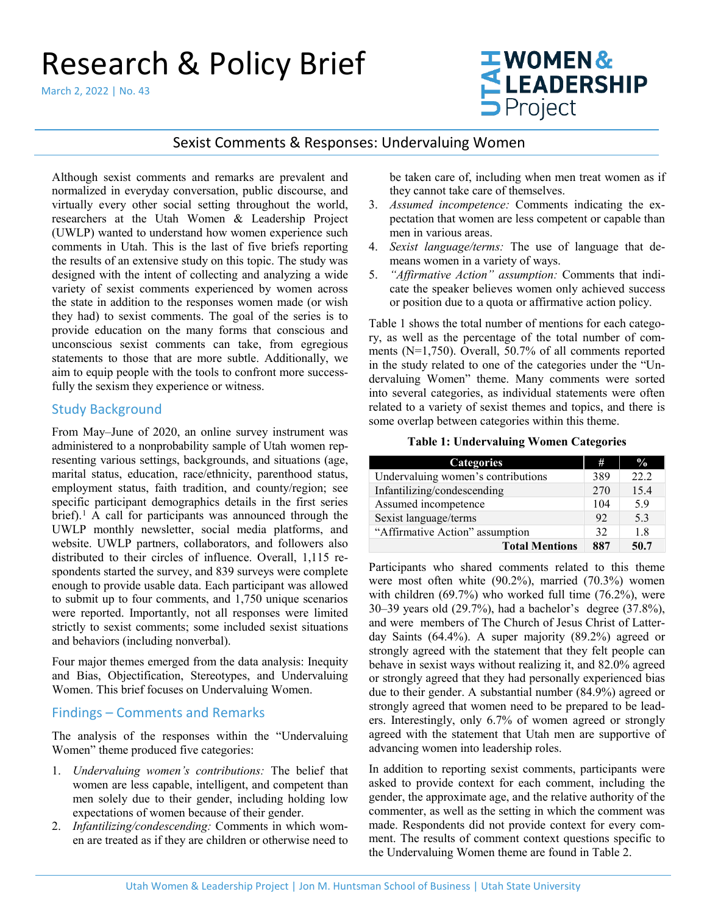# Research & Policy Brief

March 2, 2022 | No. 43

# WOMEN&<br>LEADERSHIP<br>DProject

# Sexist Comments & Responses: Undervaluing Women

Although sexist comments and remarks are prevalent and normalized in everyday conversation, public discourse, and virtually every other social setting throughout the world, researchers at the [Utah Women & Leadership Project](http://www.utwomen.org/) (UWLP) wanted to understand how women experience such comments in Utah. This is the last of five briefs reporting the results of an extensive study on this topic. The study was designed with the intent of collecting and analyzing a wide variety of sexist comments experienced by women across the state in addition to the responses women made (or wish they had) to sexist comments. The goal of the series is to provide education on the many forms that conscious and unconscious sexist comments can take, from egregious statements to those that are more subtle. Additionally, we aim to equip people with the tools to confront more successfully the sexism they experience or witness.

# Study Background

From May–June of 2020, an online survey instrument was administered to a nonprobability sample of Utah women representing various settings, backgrounds, and situations (age, marital status, education, race/ethnicity, parenthood status, employment status, faith tradition, and county/region; see specific participant demographics details in the first series brief).<sup>[1](#page-5-0)</sup> A call for participants was announced through the UWLP monthly newsletter, social media platforms, and website. UWLP partners, collaborators, and followers also distributed to their circles of influence. Overall, 1,115 respondents started the survey, and 839 surveys were complete enough to provide usable data. Each participant was allowed to submit up to four comments, and 1,750 unique scenarios were reported. Importantly, not all responses were limited strictly to sexist comments; some included sexist situations and behaviors (including nonverbal).

Four major themes emerged from the data analysis: Inequity and Bias, Objectification, Stereotypes, and Undervaluing Women. This brief focuses on Undervaluing Women.

# Findings – Comments and Remarks

The analysis of the responses within the "Undervaluing Women" theme produced five categories:

- 1. *Undervaluing women's contributions:* The belief that women are less capable, intelligent, and competent than men solely due to their gender, including holding low expectations of women because of their gender.
- 2. *Infantilizing/condescending:* Comments in which women are treated as if they are children or otherwise need to

be taken care of, including when men treat women as if they cannot take care of themselves.

- 3. *Assumed incompetence:* Comments indicating the expectation that women are less competent or capable than men in various areas.
- 4. *Sexist language/terms:* The use of language that demeans women in a variety of ways.
- 5. *"Affirmative Action" assumption:* Comments that indicate the speaker believes women only achieved success or position due to a quota or affirmative action policy.

Table 1 shows the total number of mentions for each category, as well as the percentage of the total number of comments (N=1,750). Overall, 50.7% of all comments reported in the study related to one of the categories under the "Undervaluing Women" theme. Many comments were sorted into several categories, as individual statements were often related to a variety of sexist themes and topics, and there is some overlap between categories within this theme.

#### **Table 1: Undervaluing Women Categories**

| <b>Categories</b>                  | #   | $\frac{0}{0}$ |
|------------------------------------|-----|---------------|
| Undervaluing women's contributions | 389 | 22.2          |
| Infantilizing/condescending        | 270 | 15.4          |
| Assumed incompetence               | 104 | 5.9           |
| Sexist language/terms              | 92  | 5.3           |
| "Affirmative Action" assumption    | 32  | 1.8           |
| <b>Total Mentions</b>              | 887 | 50.7          |

Participants who shared comments related to this theme were most often white (90.2%), married (70.3%) women with children (69.7%) who worked full time (76.2%), were 30–39 years old (29.7%), had a bachelor's degree (37.8%), and were members of The Church of Jesus Christ of Latterday Saints (64.4%). A super majority (89.2%) agreed or strongly agreed with the statement that they felt people can behave in sexist ways without realizing it, and 82.0% agreed or strongly agreed that they had personally experienced bias due to their gender. A substantial number (84.9%) agreed or strongly agreed that women need to be prepared to be leaders. Interestingly, only 6.7% of women agreed or strongly agreed with the statement that Utah men are supportive of advancing women into leadership roles.

In addition to reporting sexist comments, participants were asked to provide context for each comment, including the gender, the approximate age, and the relative authority of the commenter, as well as the setting in which the comment was made. Respondents did not provide context for every comment. The results of comment context questions specific to the Undervaluing Women theme are found in Table 2.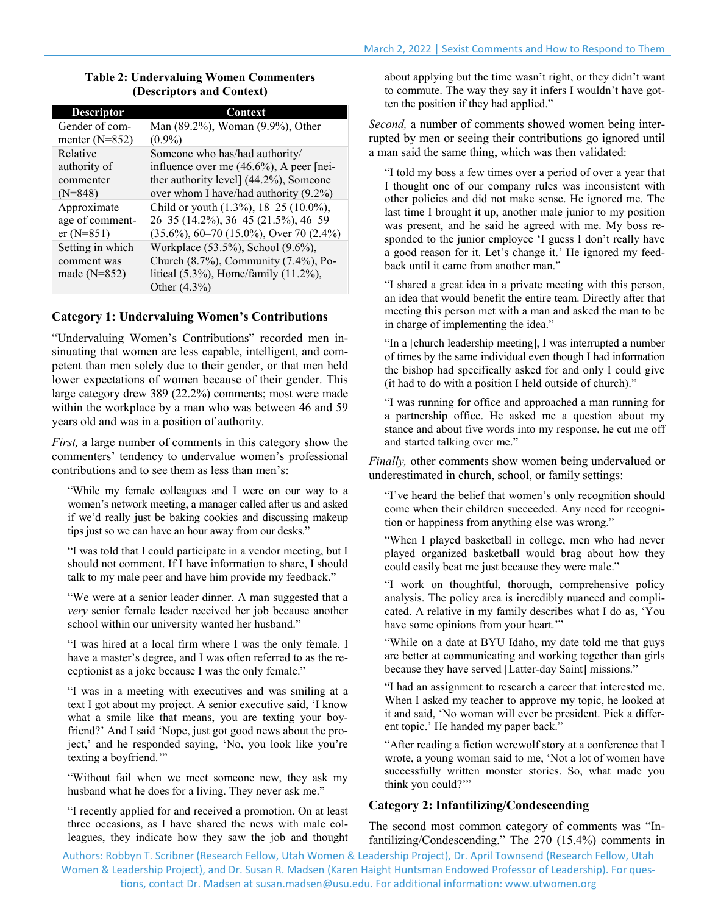| <b>Descriptor</b> | Context                                      |
|-------------------|----------------------------------------------|
| Gender of com-    | Man (89.2%), Woman (9.9%), Other             |
| menter $(N=852)$  | $(0.9\%)$                                    |
| Relative          | Someone who has/had authority/               |
| authority of      | influence over me $(46.6\%)$ , A peer [nei-  |
| commenter         | ther authority level] (44.2%), Someone       |
| $(N=848)$         | over whom I have/had authority (9.2%)        |
| Approximate       | Child or youth (1.3%), 18-25 (10.0%),        |
| age of comment-   | 26-35 (14.2%), 36-45 (21.5%), 46-59          |
| $er(N=851)$       | $(35.6\%)$ , 60-70 (15.0%), Over 70 (2.4%)   |
| Setting in which  | Workplace (53.5%), School (9.6%),            |
| comment was       | Church $(8.7\%)$ , Community $(7.4\%)$ , Po- |
| made $(N=852)$    | litical (5.3%), Home/family (11.2%),         |
|                   | Other $(4.3\%)$                              |

## **Table 2: Undervaluing Women Commenters (Descriptors and Context)**

## **Category 1: Undervaluing Women's Contributions**

"Undervaluing Women's Contributions" recorded men insinuating that women are less capable, intelligent, and competent than men solely due to their gender, or that men held lower expectations of women because of their gender. This large category drew 389 (22.2%) comments; most were made within the workplace by a man who was between 46 and 59 years old and was in a position of authority.

*First,* a large number of comments in this category show the commenters' tendency to undervalue women's professional contributions and to see them as less than men's:

"While my female colleagues and I were on our way to a women's network meeting, a manager called after us and asked if we'd really just be baking cookies and discussing makeup tips just so we can have an hour away from our desks."

"I was told that I could participate in a vendor meeting, but I should not comment. If I have information to share, I should talk to my male peer and have him provide my feedback."

"We were at a senior leader dinner. A man suggested that a *very* senior female leader received her job because another school within our university wanted her husband."

"I was hired at a local firm where I was the only female. I have a master's degree, and I was often referred to as the receptionist as a joke because I was the only female."

"I was in a meeting with executives and was smiling at a text I got about my project. A senior executive said, 'I know what a smile like that means, you are texting your boyfriend?' And I said 'Nope, just got good news about the project,' and he responded saying, 'No, you look like you're texting a boyfriend.'"

"Without fail when we meet someone new, they ask my husband what he does for a living. They never ask me."

"I recently applied for and received a promotion. On at least three occasions, as I have shared the news with male colleagues, they indicate how they saw the job and thought about applying but the time wasn't right, or they didn't want to commute. The way they say it infers I wouldn't have gotten the position if they had applied."

*Second,* a number of comments showed women being interrupted by men or seeing their contributions go ignored until a man said the same thing, which was then validated:

"I told my boss a few times over a period of over a year that I thought one of our company rules was inconsistent with other policies and did not make sense. He ignored me. The last time I brought it up, another male junior to my position was present, and he said he agreed with me. My boss responded to the junior employee 'I guess I don't really have a good reason for it. Let's change it.' He ignored my feedback until it came from another man."

"I shared a great idea in a private meeting with this person, an idea that would benefit the entire team. Directly after that meeting this person met with a man and asked the man to be in charge of implementing the idea."

"In a [church leadership meeting], I was interrupted a number of times by the same individual even though I had information the bishop had specifically asked for and only I could give (it had to do with a position I held outside of church)."

"I was running for office and approached a man running for a partnership office. He asked me a question about my stance and about five words into my response, he cut me off and started talking over me."

*Finally,* other comments show women being undervalued or underestimated in church, school, or family settings:

"I've heard the belief that women's only recognition should come when their children succeeded. Any need for recognition or happiness from anything else was wrong."

"When I played basketball in college, men who had never played organized basketball would brag about how they could easily beat me just because they were male."

"I work on thoughtful, thorough, comprehensive policy analysis. The policy area is incredibly nuanced and complicated. A relative in my family describes what I do as, 'You have some opinions from your heart."

"While on a date at BYU Idaho, my date told me that guys are better at communicating and working together than girls because they have served [Latter-day Saint] missions."

"I had an assignment to research a career that interested me. When I asked my teacher to approve my topic, he looked at it and said, 'No woman will ever be president. Pick a different topic.' He handed my paper back."

"After reading a fiction werewolf story at a conference that I wrote, a young woman said to me, 'Not a lot of women have successfully written monster stories. So, what made you think you could?'"

# **Category 2: Infantilizing/Condescending**

The second most common category of comments was "Infantilizing/Condescending." The 270 (15.4%) comments in

Authors: Robbyn T. Scribner (Research Fellow, Utah Women & Leadership Project), Dr. April Townsend (Research Fellow, Utah Women & Leadership Project), and Dr. Susan R. Madsen (Karen Haight Huntsman Endowed Professor of Leadership). For questions, contact Dr. Madsen a[t susan.madsen@usu.edu.](mailto:susan.madsen@usu.edu) For additional information[: www.utwomen.org](http://utwomen.org/)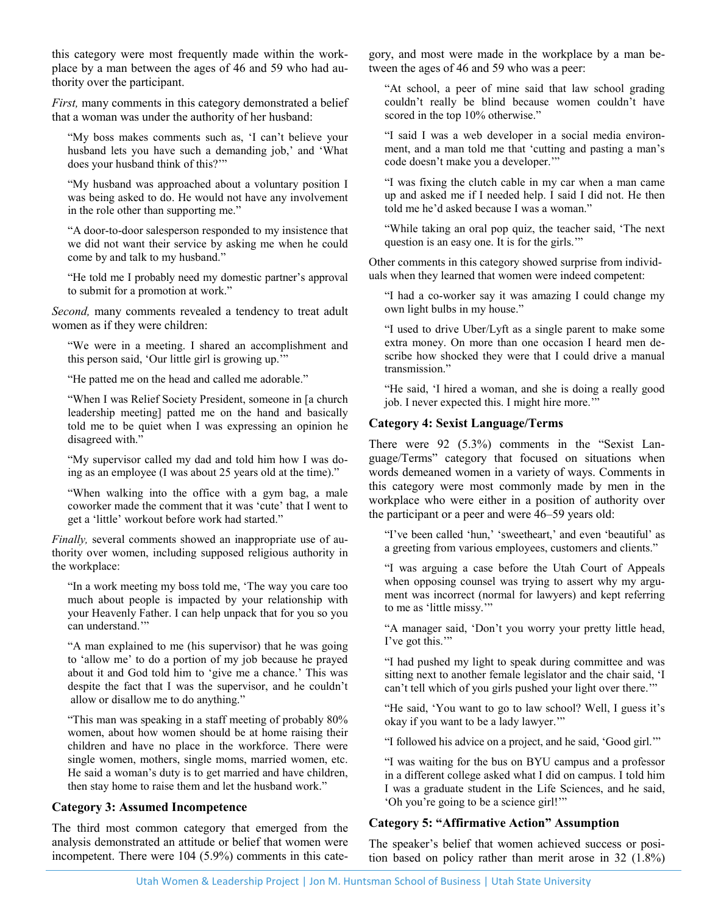this category were most frequently made within the workplace by a man between the ages of 46 and 59 who had authority over the participant.

*First,* many comments in this category demonstrated a belief that a woman was under the authority of her husband:

"My boss makes comments such as, 'I can't believe your husband lets you have such a demanding job,' and 'What does your husband think of this?'"

"My husband was approached about a voluntary position I was being asked to do. He would not have any involvement in the role other than supporting me."

"A door-to-door salesperson responded to my insistence that we did not want their service by asking me when he could come by and talk to my husband."

"He told me I probably need my domestic partner's approval to submit for a promotion at work."

*Second,* many comments revealed a tendency to treat adult women as if they were children:

"We were in a meeting. I shared an accomplishment and this person said, 'Our little girl is growing up.'"

"He patted me on the head and called me adorable."

"When I was Relief Society President, someone in [a church leadership meeting] patted me on the hand and basically told me to be quiet when I was expressing an opinion he disagreed with."

"My supervisor called my dad and told him how I was doing as an employee (I was about 25 years old at the time)."

"When walking into the office with a gym bag, a male coworker made the comment that it was 'cute' that I went to get a 'little' workout before work had started."

*Finally,* several comments showed an inappropriate use of authority over women, including supposed religious authority in the workplace:

"In a work meeting my boss told me, 'The way you care too much about people is impacted by your relationship with your Heavenly Father. I can help unpack that for you so you can understand."

"A man explained to me (his supervisor) that he was going to 'allow me' to do a portion of my job because he prayed about it and God told him to 'give me a chance.' This was despite the fact that I was the supervisor, and he couldn't allow or disallow me to do anything."

"This man was speaking in a staff meeting of probably 80% women, about how women should be at home raising their children and have no place in the workforce. There were single women, mothers, single moms, married women, etc. He said a woman's duty is to get married and have children, then stay home to raise them and let the husband work."

## **Category 3: Assumed Incompetence**

The third most common category that emerged from the analysis demonstrated an attitude or belief that women were incompetent. There were 104 (5.9%) comments in this cate-

gory, and most were made in the workplace by a man between the ages of 46 and 59 who was a peer:

"At school, a peer of mine said that law school grading couldn't really be blind because women couldn't have scored in the top 10% otherwise."

"I said I was a web developer in a social media environment, and a man told me that 'cutting and pasting a man's code doesn't make you a developer.'"

"I was fixing the clutch cable in my car when a man came up and asked me if I needed help. I said I did not. He then told me he'd asked because I was a woman."

"While taking an oral pop quiz, the teacher said, 'The next question is an easy one. It is for the girls.'"

Other comments in this category showed surprise from individuals when they learned that women were indeed competent:

"I had a co-worker say it was amazing I could change my own light bulbs in my house."

"I used to drive Uber/Lyft as a single parent to make some extra money. On more than one occasion I heard men describe how shocked they were that I could drive a manual transmission."

"He said, 'I hired a woman, and she is doing a really good job. I never expected this. I might hire more.'"

#### **Category 4: Sexist Language/Terms**

There were 92 (5.3%) comments in the "Sexist Language/Terms" category that focused on situations when words demeaned women in a variety of ways. Comments in this category were most commonly made by men in the workplace who were either in a position of authority over the participant or a peer and were 46–59 years old:

"I've been called 'hun,' 'sweetheart,' and even 'beautiful' as a greeting from various employees, customers and clients."

"I was arguing a case before the Utah Court of Appeals when opposing counsel was trying to assert why my argument was incorrect (normal for lawyers) and kept referring to me as 'little missy.'"

"A manager said, 'Don't you worry your pretty little head, I've got this."

"I had pushed my light to speak during committee and was sitting next to another female legislator and the chair said, 'I can't tell which of you girls pushed your light over there.'"

"He said, 'You want to go to law school? Well, I guess it's okay if you want to be a lady lawyer.'"

"I followed his advice on a project, and he said, 'Good girl.'"

"I was waiting for the bus on BYU campus and a professor in a different college asked what I did on campus. I told him I was a graduate student in the Life Sciences, and he said, 'Oh you're going to be a science girl!'"

## **Category 5: "Affirmative Action" Assumption**

The speaker's belief that women achieved success or position based on policy rather than merit arose in 32 (1.8%)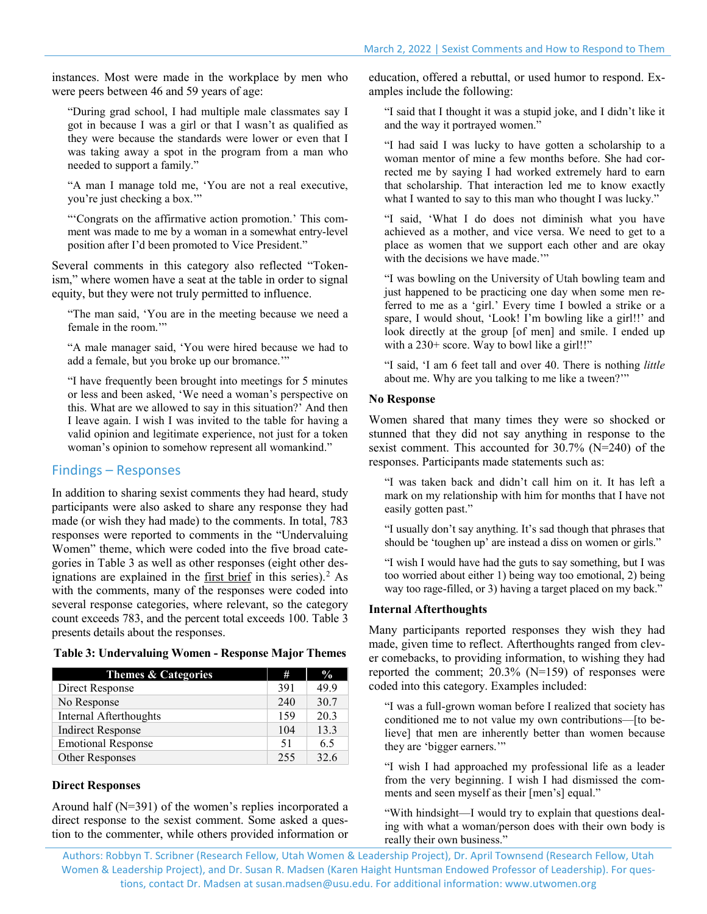instances. Most were made in the workplace by men who were peers between 46 and 59 years of age:

"During grad school, I had multiple male classmates say I got in because I was a girl or that I wasn't as qualified as they were because the standards were lower or even that I was taking away a spot in the program from a man who needed to support a family."

"A man I manage told me, 'You are not a real executive, you're just checking a box.'"

"'Congrats on the affirmative action promotion.' This comment was made to me by a woman in a somewhat entry-level position after I'd been promoted to Vice President."

Several comments in this category also reflected "Tokenism," where women have a seat at the table in order to signal equity, but they were not truly permitted to influence.

"The man said, 'You are in the meeting because we need a female in the room.'"

"A male manager said, 'You were hired because we had to add a female, but you broke up our bromance.'"

"I have frequently been brought into meetings for 5 minutes or less and been asked, 'We need a woman's perspective on this. What are we allowed to say in this situation?' And then I leave again. I wish I was invited to the table for having a valid opinion and legitimate experience, not just for a token woman's opinion to somehow represent all womankind."

#### Findings – Responses

In addition to sharing sexist comments they had heard, study participants were also asked to share any response they had made (or wish they had made) to the comments. In total, 783 responses were reported to comments in the "Undervaluing Women" theme, which were coded into the five broad categories in Table 3 as well as other responses (eight other designations are explained in the [first brief](https://www.usu.edu/uwlp/files/briefs/38-sexist-comments-study-introduction-overview.pdf) in this series). [2](#page-5-1) As with the comments, many of the responses were coded into several response categories, where relevant, so the category count exceeds 783, and the percent total exceeds 100. Table 3 presents details about the responses.

| Themes & Categories       | #   | $\%$ |
|---------------------------|-----|------|
| Direct Response           | 391 | 49.9 |
| No Response               | 240 | 30.7 |
| Internal Afterthoughts    | 159 | 20.3 |
| <b>Indirect Response</b>  | 104 | 13.3 |
| <b>Emotional Response</b> | 51  | 6.5  |
| Other Responses           | 255 | 32.6 |

#### **Direct Responses**

Around half (N=391) of the women's replies incorporated a direct response to the sexist comment. Some asked a question to the commenter, while others provided information or

education, offered a rebuttal, or used humor to respond. Examples include the following:

"I said that I thought it was a stupid joke, and I didn't like it and the way it portrayed women."

"I had said I was lucky to have gotten a scholarship to a woman mentor of mine a few months before. She had corrected me by saying I had worked extremely hard to earn that scholarship. That interaction led me to know exactly what I wanted to say to this man who thought I was lucky."

"I said, 'What I do does not diminish what you have achieved as a mother, and vice versa. We need to get to a place as women that we support each other and are okay with the decisions we have made."

"I was bowling on the University of Utah bowling team and just happened to be practicing one day when some men referred to me as a 'girl.' Every time I bowled a strike or a spare, I would shout, 'Look! I'm bowling like a girl!!' and look directly at the group [of men] and smile. I ended up with a 230+ score. Way to bowl like a girl!!"

"I said, 'I am 6 feet tall and over 40. There is nothing *little*  about me. Why are you talking to me like a tween?'"

#### **No Response**

Women shared that many times they were so shocked or stunned that they did not say anything in response to the sexist comment. This accounted for 30.7% (N=240) of the responses. Participants made statements such as:

"I was taken back and didn't call him on it. It has left a mark on my relationship with him for months that I have not easily gotten past."

"I usually don't say anything. It's sad though that phrases that should be 'toughen up' are instead a diss on women or girls."

"I wish I would have had the guts to say something, but I was too worried about either 1) being way too emotional, 2) being way too rage-filled, or 3) having a target placed on my back."

#### **Internal Afterthoughts**

Many participants reported responses they wish they had made, given time to reflect. Afterthoughts ranged from clever comebacks, to providing information, to wishing they had reported the comment; 20.3% (N=159) of responses were coded into this category. Examples included:

"I was a full-grown woman before I realized that society has conditioned me to not value my own contributions—[to believe] that men are inherently better than women because they are 'bigger earners.'"

"I wish I had approached my professional life as a leader from the very beginning. I wish I had dismissed the comments and seen myself as their [men's] equal."

"With hindsight—I would try to explain that questions dealing with what a woman/person does with their own body is really their own business."

Authors: Robbyn T. Scribner (Research Fellow, Utah Women & Leadership Project), Dr. April Townsend (Research Fellow, Utah Women & Leadership Project), and Dr. Susan R. Madsen (Karen Haight Huntsman Endowed Professor of Leadership). For questions, contact Dr. Madsen a[t susan.madsen@usu.edu.](mailto:susan.madsen@usu.edu) For additional information[: www.utwomen.org](http://utwomen.org/)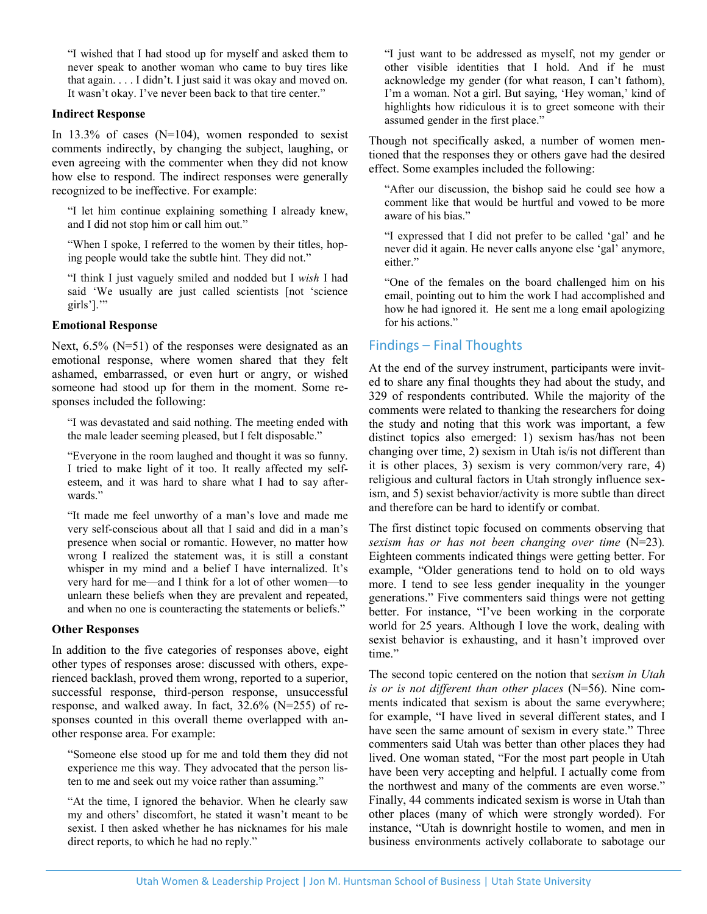"I wished that I had stood up for myself and asked them to never speak to another woman who came to buy tires like that again. . . . I didn't. I just said it was okay and moved on. It wasn't okay. I've never been back to that tire center."

#### **Indirect Response**

In  $13.3\%$  of cases (N=104), women responded to sexist comments indirectly, by changing the subject, laughing, or even agreeing with the commenter when they did not know how else to respond. The indirect responses were generally recognized to be ineffective. For example:

"I let him continue explaining something I already knew, and I did not stop him or call him out."

"When I spoke, I referred to the women by their titles, hoping people would take the subtle hint. They did not."

"I think I just vaguely smiled and nodded but I *wish* I had said 'We usually are just called scientists [not 'science girls'].'"

#### **Emotional Response**

Next,  $6.5\%$  (N=51) of the responses were designated as an emotional response, where women shared that they felt ashamed, embarrassed, or even hurt or angry, or wished someone had stood up for them in the moment. Some responses included the following:

"I was devastated and said nothing. The meeting ended with the male leader seeming pleased, but I felt disposable."

"Everyone in the room laughed and thought it was so funny. I tried to make light of it too. It really affected my selfesteem, and it was hard to share what I had to say afterwards."

"It made me feel unworthy of a man's love and made me very self-conscious about all that I said and did in a man's presence when social or romantic. However, no matter how wrong I realized the statement was, it is still a constant whisper in my mind and a belief I have internalized. It's very hard for me—and I think for a lot of other women—to unlearn these beliefs when they are prevalent and repeated, and when no one is counteracting the statements or beliefs."

#### **Other Responses**

In addition to the five categories of responses above, eight other types of responses arose: discussed with others, experienced backlash, proved them wrong, reported to a superior, successful response, third-person response, unsuccessful response, and walked away. In fact, 32.6% (N=255) of responses counted in this overall theme overlapped with another response area. For example:

"Someone else stood up for me and told them they did not experience me this way. They advocated that the person listen to me and seek out my voice rather than assuming."

"At the time, I ignored the behavior. When he clearly saw my and others' discomfort, he stated it wasn't meant to be sexist. I then asked whether he has nicknames for his male direct reports, to which he had no reply."

"I just want to be addressed as myself, not my gender or other visible identities that I hold. And if he must acknowledge my gender (for what reason, I can't fathom), I'm a woman. Not a girl. But saying, 'Hey woman,' kind of highlights how ridiculous it is to greet someone with their assumed gender in the first place."

Though not specifically asked, a number of women mentioned that the responses they or others gave had the desired effect. Some examples included the following:

"After our discussion, the bishop said he could see how a comment like that would be hurtful and vowed to be more aware of his bias."

"I expressed that I did not prefer to be called 'gal' and he never did it again. He never calls anyone else 'gal' anymore, either."

"One of the females on the board challenged him on his email, pointing out to him the work I had accomplished and how he had ignored it. He sent me a long email apologizing for his actions."

# Findings – Final Thoughts

At the end of the survey instrument, participants were invited to share any final thoughts they had about the study, and 329 of respondents contributed. While the majority of the comments were related to thanking the researchers for doing the study and noting that this work was important, a few distinct topics also emerged: 1) sexism has/has not been changing over time, 2) sexism in Utah is/is not different than it is other places, 3) sexism is very common/very rare, 4) religious and cultural factors in Utah strongly influence sexism, and 5) sexist behavior/activity is more subtle than direct and therefore can be hard to identify or combat.

The first distinct topic focused on comments observing that *sexism has or has not been changing over time* (N=23)*.* Eighteen comments indicated things were getting better. For example, "Older generations tend to hold on to old ways more. I tend to see less gender inequality in the younger generations." Five commenters said things were not getting better. For instance, "I've been working in the corporate world for 25 years. Although I love the work, dealing with sexist behavior is exhausting, and it hasn't improved over time."

The second topic centered on the notion that s*exism in Utah is or is not different than other places* (N=56). Nine comments indicated that sexism is about the same everywhere; for example, "I have lived in several different states, and I have seen the same amount of sexism in every state." Three commenters said Utah was better than other places they had lived. One woman stated, "For the most part people in Utah have been very accepting and helpful. I actually come from the northwest and many of the comments are even worse." Finally, 44 comments indicated sexism is worse in Utah than other places (many of which were strongly worded). For instance, "Utah is downright hostile to women, and men in business environments actively collaborate to sabotage our